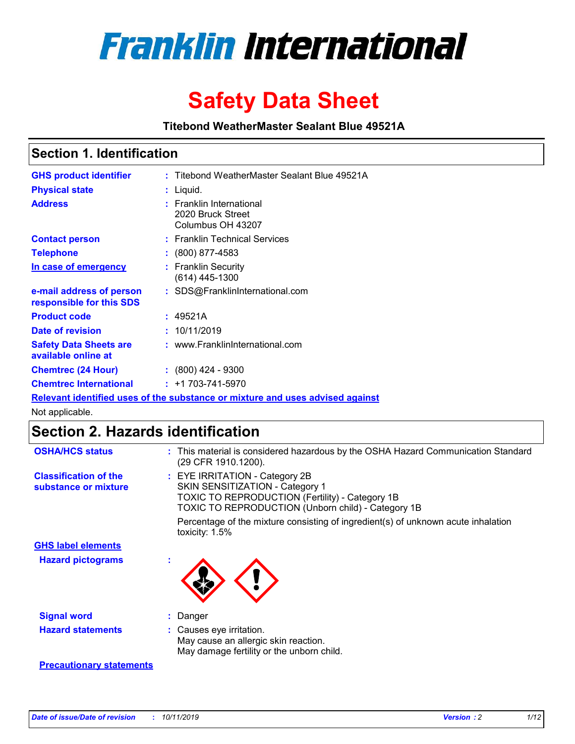

# **Safety Data Sheet**

**Titebond WeatherMaster Sealant Blue 49521A**

### **Section 1. Identification**

| <b>GHS product identifier</b>                        | : Titebond WeatherMaster Sealant Blue 49521A                                  |
|------------------------------------------------------|-------------------------------------------------------------------------------|
| <b>Physical state</b>                                | : Liquid.                                                                     |
| <b>Address</b>                                       | : Franklin International<br>2020 Bruck Street<br>Columbus OH 43207            |
| <b>Contact person</b>                                | : Franklin Technical Services                                                 |
| <b>Telephone</b>                                     | $\colon$ (800) 877-4583                                                       |
| In case of emergency                                 | : Franklin Security<br>(614) 445-1300                                         |
| e-mail address of person<br>responsible for this SDS | : SDS@FranklinInternational.com                                               |
| <b>Product code</b>                                  | : 49521A                                                                      |
| Date of revision                                     | : 10/11/2019                                                                  |
| <b>Safety Data Sheets are</b><br>available online at | : www.FranklinInternational.com                                               |
| <b>Chemtrec (24 Hour)</b>                            | $\div$ (800) 424 - 9300                                                       |
| <b>Chemtrec International</b>                        | $: +1703 - 741 - 5970$                                                        |
|                                                      | Relevant identified uses of the substance or mixture and uses advised against |

Not applicable.

## **Section 2. Hazards identification**

| <b>OSHA/HCS status</b>                               | : This material is considered hazardous by the OSHA Hazard Communication Standard<br>(29 CFR 1910.1200).                                                                          |
|------------------------------------------------------|-----------------------------------------------------------------------------------------------------------------------------------------------------------------------------------|
| <b>Classification of the</b><br>substance or mixture | : EYE IRRITATION - Category 2B<br>SKIN SENSITIZATION - Category 1<br><b>TOXIC TO REPRODUCTION (Fertility) - Category 1B</b><br>TOXIC TO REPRODUCTION (Unborn child) - Category 1B |
|                                                      | Percentage of the mixture consisting of ingredient(s) of unknown acute inhalation<br>toxicity: $1.5\%$                                                                            |
| <b>GHS label elements</b>                            |                                                                                                                                                                                   |
| <b>Hazard pictograms</b>                             |                                                                                                                                                                                   |
| <b>Signal word</b>                                   | : Danger                                                                                                                                                                          |
| <b>Hazard statements</b>                             | : Causes eye irritation.<br>May cause an allergic skin reaction.<br>May damage fertility or the unborn child.                                                                     |
| <b>Precautionary statements</b>                      |                                                                                                                                                                                   |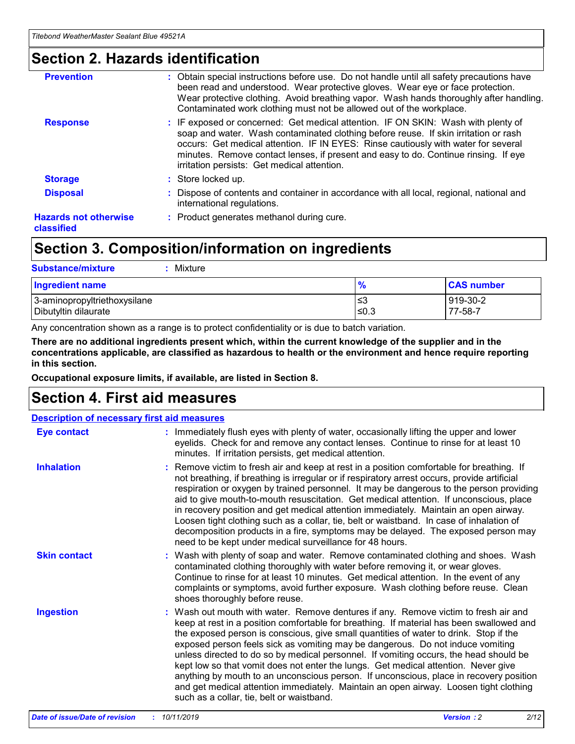### **Section 2. Hazards identification**

| <b>Prevention</b>                          | : Obtain special instructions before use. Do not handle until all safety precautions have<br>been read and understood. Wear protective gloves. Wear eye or face protection.<br>Wear protective clothing. Avoid breathing vapor. Wash hands thoroughly after handling.<br>Contaminated work clothing must not be allowed out of the workplace.                                                        |
|--------------------------------------------|------------------------------------------------------------------------------------------------------------------------------------------------------------------------------------------------------------------------------------------------------------------------------------------------------------------------------------------------------------------------------------------------------|
| <b>Response</b>                            | : IF exposed or concerned: Get medical attention. IF ON SKIN: Wash with plenty of<br>soap and water. Wash contaminated clothing before reuse. If skin irritation or rash<br>occurs: Get medical attention. IF IN EYES: Rinse cautiously with water for several<br>minutes. Remove contact lenses, if present and easy to do. Continue rinsing. If eye<br>irritation persists: Get medical attention. |
| <b>Storage</b>                             | : Store locked up.                                                                                                                                                                                                                                                                                                                                                                                   |
| <b>Disposal</b>                            | : Dispose of contents and container in accordance with all local, regional, national and<br>international regulations.                                                                                                                                                                                                                                                                               |
| <b>Hazards not otherwise</b><br>classified | : Product generates methanol during cure.                                                                                                                                                                                                                                                                                                                                                            |
|                                            |                                                                                                                                                                                                                                                                                                                                                                                                      |

### **Section 3. Composition/information on ingredients**

| <b>Substance/mixture</b><br>Mixture                  |               |                     |
|------------------------------------------------------|---------------|---------------------|
| <b>Ingredient name</b>                               | $\frac{9}{6}$ | <b>CAS number</b>   |
| 3-aminopropyltriethoxysilane<br>Dibutyltin dilaurate | ≤3<br>≤0.3    | 919-30-2<br>77-58-7 |

Any concentration shown as a range is to protect confidentiality or is due to batch variation.

**There are no additional ingredients present which, within the current knowledge of the supplier and in the concentrations applicable, are classified as hazardous to health or the environment and hence require reporting in this section.**

**Occupational exposure limits, if available, are listed in Section 8.**

### **Section 4. First aid measures**

| <b>Description of necessary first aid measures</b> |                                                                                                                                                                                                                                                                                                                                                                                                                                                                                                                                                                                                                                                                                                                                                                           |  |  |  |
|----------------------------------------------------|---------------------------------------------------------------------------------------------------------------------------------------------------------------------------------------------------------------------------------------------------------------------------------------------------------------------------------------------------------------------------------------------------------------------------------------------------------------------------------------------------------------------------------------------------------------------------------------------------------------------------------------------------------------------------------------------------------------------------------------------------------------------------|--|--|--|
| <b>Eye contact</b>                                 | : Immediately flush eyes with plenty of water, occasionally lifting the upper and lower<br>eyelids. Check for and remove any contact lenses. Continue to rinse for at least 10<br>minutes. If irritation persists, get medical attention.                                                                                                                                                                                                                                                                                                                                                                                                                                                                                                                                 |  |  |  |
| <b>Inhalation</b>                                  | : Remove victim to fresh air and keep at rest in a position comfortable for breathing. If<br>not breathing, if breathing is irregular or if respiratory arrest occurs, provide artificial<br>respiration or oxygen by trained personnel. It may be dangerous to the person providing<br>aid to give mouth-to-mouth resuscitation. Get medical attention. If unconscious, place<br>in recovery position and get medical attention immediately. Maintain an open airway.<br>Loosen tight clothing such as a collar, tie, belt or waistband. In case of inhalation of<br>decomposition products in a fire, symptoms may be delayed. The exposed person may<br>need to be kept under medical surveillance for 48 hours.                                                       |  |  |  |
| <b>Skin contact</b>                                | : Wash with plenty of soap and water. Remove contaminated clothing and shoes. Wash<br>contaminated clothing thoroughly with water before removing it, or wear gloves.<br>Continue to rinse for at least 10 minutes. Get medical attention. In the event of any<br>complaints or symptoms, avoid further exposure. Wash clothing before reuse. Clean<br>shoes thoroughly before reuse.                                                                                                                                                                                                                                                                                                                                                                                     |  |  |  |
| <b>Ingestion</b>                                   | : Wash out mouth with water. Remove dentures if any. Remove victim to fresh air and<br>keep at rest in a position comfortable for breathing. If material has been swallowed and<br>the exposed person is conscious, give small quantities of water to drink. Stop if the<br>exposed person feels sick as vomiting may be dangerous. Do not induce vomiting<br>unless directed to do so by medical personnel. If vomiting occurs, the head should be<br>kept low so that vomit does not enter the lungs. Get medical attention. Never give<br>anything by mouth to an unconscious person. If unconscious, place in recovery position<br>and get medical attention immediately. Maintain an open airway. Loosen tight clothing<br>such as a collar, tie, belt or waistband. |  |  |  |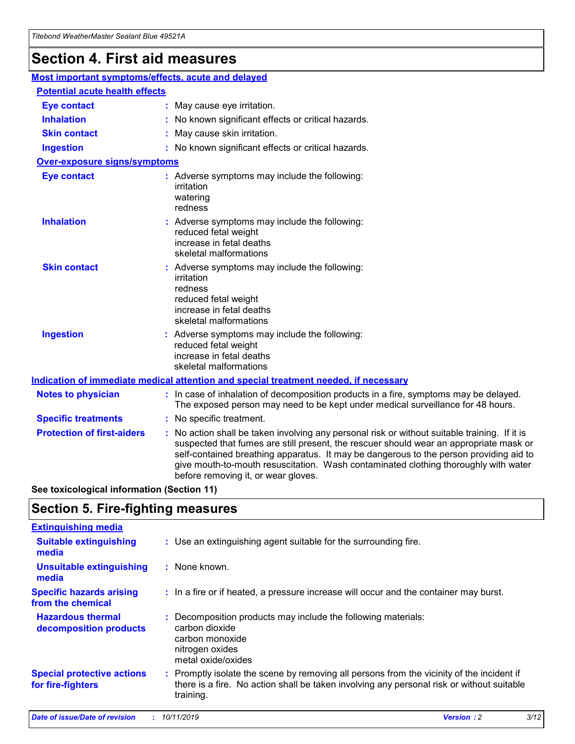## **Section 4. First aid measures**

| Most important symptoms/effects, acute and delayed |  |                                                                                                                                                                                                                                                                                                                                                                                                                 |  |
|----------------------------------------------------|--|-----------------------------------------------------------------------------------------------------------------------------------------------------------------------------------------------------------------------------------------------------------------------------------------------------------------------------------------------------------------------------------------------------------------|--|
| <b>Potential acute health effects</b>              |  |                                                                                                                                                                                                                                                                                                                                                                                                                 |  |
| <b>Eye contact</b>                                 |  | : May cause eye irritation.                                                                                                                                                                                                                                                                                                                                                                                     |  |
| <b>Inhalation</b>                                  |  | : No known significant effects or critical hazards.                                                                                                                                                                                                                                                                                                                                                             |  |
| <b>Skin contact</b>                                |  | : May cause skin irritation.                                                                                                                                                                                                                                                                                                                                                                                    |  |
| <b>Ingestion</b>                                   |  | : No known significant effects or critical hazards.                                                                                                                                                                                                                                                                                                                                                             |  |
| Over-exposure signs/symptoms                       |  |                                                                                                                                                                                                                                                                                                                                                                                                                 |  |
| <b>Eye contact</b>                                 |  | : Adverse symptoms may include the following:<br>irritation<br>watering<br>redness                                                                                                                                                                                                                                                                                                                              |  |
| <b>Inhalation</b>                                  |  | : Adverse symptoms may include the following:<br>reduced fetal weight<br>increase in fetal deaths<br>skeletal malformations                                                                                                                                                                                                                                                                                     |  |
| <b>Skin contact</b>                                |  | : Adverse symptoms may include the following:<br>irritation<br>redness<br>reduced fetal weight<br>increase in fetal deaths<br>skeletal malformations                                                                                                                                                                                                                                                            |  |
| <b>Ingestion</b>                                   |  | : Adverse symptoms may include the following:<br>reduced fetal weight<br>increase in fetal deaths<br>skeletal malformations                                                                                                                                                                                                                                                                                     |  |
|                                                    |  | <b>Indication of immediate medical attention and special treatment needed, if necessary</b>                                                                                                                                                                                                                                                                                                                     |  |
| <b>Notes to physician</b>                          |  | : In case of inhalation of decomposition products in a fire, symptoms may be delayed.<br>The exposed person may need to be kept under medical surveillance for 48 hours.                                                                                                                                                                                                                                        |  |
| <b>Specific treatments</b>                         |  | : No specific treatment.                                                                                                                                                                                                                                                                                                                                                                                        |  |
| <b>Protection of first-aiders</b>                  |  | : No action shall be taken involving any personal risk or without suitable training. If it is<br>suspected that fumes are still present, the rescuer should wear an appropriate mask or<br>self-contained breathing apparatus. It may be dangerous to the person providing aid to<br>give mouth-to-mouth resuscitation. Wash contaminated clothing thoroughly with water<br>before removing it, or wear gloves. |  |

**See toxicological information (Section 11)**

### **Section 5. Fire-fighting measures**

| <b>Extinguishing media</b>                             |                                                                                                                                                                                                     |
|--------------------------------------------------------|-----------------------------------------------------------------------------------------------------------------------------------------------------------------------------------------------------|
| <b>Suitable extinguishing</b><br>media                 | : Use an extinguishing agent suitable for the surrounding fire.                                                                                                                                     |
| <b>Unsuitable extinguishing</b><br>media               | : None known.                                                                                                                                                                                       |
| <b>Specific hazards arising</b><br>from the chemical   | : In a fire or if heated, a pressure increase will occur and the container may burst.                                                                                                               |
| <b>Hazardous thermal</b><br>decomposition products     | : Decomposition products may include the following materials:<br>carbon dioxide<br>carbon monoxide<br>nitrogen oxides<br>metal oxide/oxides                                                         |
| <b>Special protective actions</b><br>for fire-fighters | : Promptly isolate the scene by removing all persons from the vicinity of the incident if<br>there is a fire. No action shall be taken involving any personal risk or without suitable<br>training. |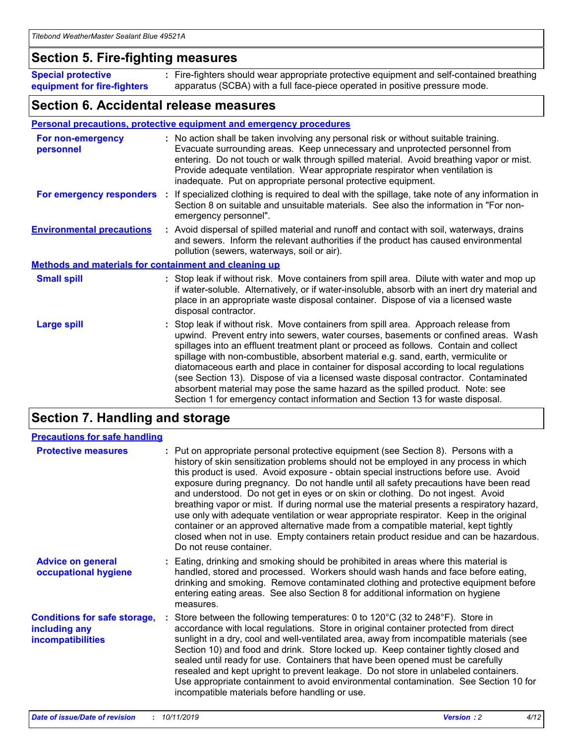### **Section 5. Fire-fighting measures**

**Special protective equipment for fire-fighters** Fire-fighters should wear appropriate protective equipment and self-contained breathing **:** apparatus (SCBA) with a full face-piece operated in positive pressure mode.

### **Section 6. Accidental release measures**

#### **Personal precautions, protective equipment and emergency procedures**

| For non-emergency<br>personnel   |                                                              | : No action shall be taken involving any personal risk or without suitable training.<br>Evacuate surrounding areas. Keep unnecessary and unprotected personnel from<br>entering. Do not touch or walk through spilled material. Avoid breathing vapor or mist.<br>Provide adequate ventilation. Wear appropriate respirator when ventilation is<br>inadequate. Put on appropriate personal protective equipment.                                                                                                                                                                                                                                                                                             |  |  |  |
|----------------------------------|--------------------------------------------------------------|--------------------------------------------------------------------------------------------------------------------------------------------------------------------------------------------------------------------------------------------------------------------------------------------------------------------------------------------------------------------------------------------------------------------------------------------------------------------------------------------------------------------------------------------------------------------------------------------------------------------------------------------------------------------------------------------------------------|--|--|--|
| For emergency responders         |                                                              | : If specialized clothing is required to deal with the spillage, take note of any information in<br>Section 8 on suitable and unsuitable materials. See also the information in "For non-<br>emergency personnel".                                                                                                                                                                                                                                                                                                                                                                                                                                                                                           |  |  |  |
| <b>Environmental precautions</b> |                                                              | : Avoid dispersal of spilled material and runoff and contact with soil, waterways, drains<br>and sewers. Inform the relevant authorities if the product has caused environmental<br>pollution (sewers, waterways, soil or air).                                                                                                                                                                                                                                                                                                                                                                                                                                                                              |  |  |  |
|                                  | <b>Methods and materials for containment and cleaning up</b> |                                                                                                                                                                                                                                                                                                                                                                                                                                                                                                                                                                                                                                                                                                              |  |  |  |
| <b>Small spill</b>               |                                                              | : Stop leak if without risk. Move containers from spill area. Dilute with water and mop up<br>if water-soluble. Alternatively, or if water-insoluble, absorb with an inert dry material and<br>place in an appropriate waste disposal container. Dispose of via a licensed waste<br>disposal contractor.                                                                                                                                                                                                                                                                                                                                                                                                     |  |  |  |
| <b>Large spill</b>               |                                                              | : Stop leak if without risk. Move containers from spill area. Approach release from<br>upwind. Prevent entry into sewers, water courses, basements or confined areas. Wash<br>spillages into an effluent treatment plant or proceed as follows. Contain and collect<br>spillage with non-combustible, absorbent material e.g. sand, earth, vermiculite or<br>diatomaceous earth and place in container for disposal according to local regulations<br>(see Section 13). Dispose of via a licensed waste disposal contractor. Contaminated<br>absorbent material may pose the same hazard as the spilled product. Note: see<br>Section 1 for emergency contact information and Section 13 for waste disposal. |  |  |  |

### **Section 7. Handling and storage**

| <b>Precautions for safe handling</b>                                             |                                                                                                                                                                                                                                                                                                                                                                                                                                                                                                                                                                                                                                                                                                                                                                                                                                                  |
|----------------------------------------------------------------------------------|--------------------------------------------------------------------------------------------------------------------------------------------------------------------------------------------------------------------------------------------------------------------------------------------------------------------------------------------------------------------------------------------------------------------------------------------------------------------------------------------------------------------------------------------------------------------------------------------------------------------------------------------------------------------------------------------------------------------------------------------------------------------------------------------------------------------------------------------------|
| <b>Protective measures</b>                                                       | : Put on appropriate personal protective equipment (see Section 8). Persons with a<br>history of skin sensitization problems should not be employed in any process in which<br>this product is used. Avoid exposure - obtain special instructions before use. Avoid<br>exposure during pregnancy. Do not handle until all safety precautions have been read<br>and understood. Do not get in eyes or on skin or clothing. Do not ingest. Avoid<br>breathing vapor or mist. If during normal use the material presents a respiratory hazard,<br>use only with adequate ventilation or wear appropriate respirator. Keep in the original<br>container or an approved alternative made from a compatible material, kept tightly<br>closed when not in use. Empty containers retain product residue and can be hazardous.<br>Do not reuse container. |
| <b>Advice on general</b><br>occupational hygiene                                 | : Eating, drinking and smoking should be prohibited in areas where this material is<br>handled, stored and processed. Workers should wash hands and face before eating,<br>drinking and smoking. Remove contaminated clothing and protective equipment before<br>entering eating areas. See also Section 8 for additional information on hygiene<br>measures.                                                                                                                                                                                                                                                                                                                                                                                                                                                                                    |
| <b>Conditions for safe storage,</b><br>including any<br><b>incompatibilities</b> | Store between the following temperatures: 0 to 120 $\degree$ C (32 to 248 $\degree$ F). Store in<br>accordance with local regulations. Store in original container protected from direct<br>sunlight in a dry, cool and well-ventilated area, away from incompatible materials (see<br>Section 10) and food and drink. Store locked up. Keep container tightly closed and<br>sealed until ready for use. Containers that have been opened must be carefully<br>resealed and kept upright to prevent leakage. Do not store in unlabeled containers.<br>Use appropriate containment to avoid environmental contamination. See Section 10 for<br>incompatible materials before handling or use.                                                                                                                                                     |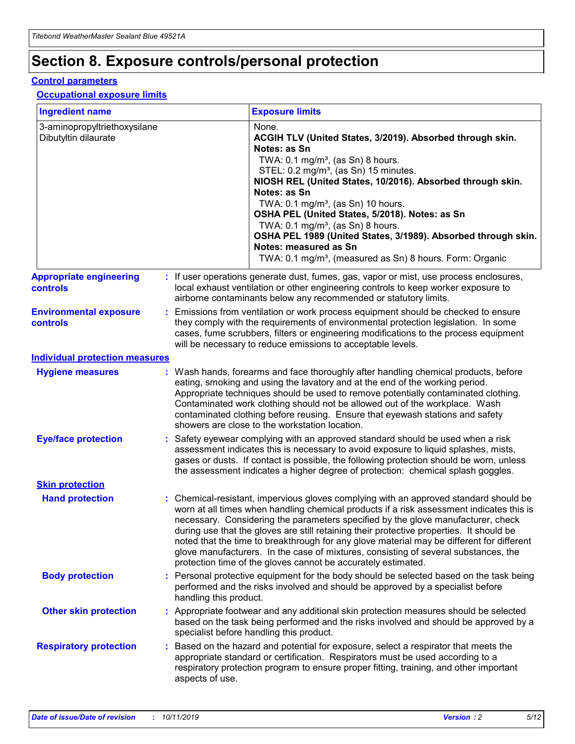## **Section 8. Exposure controls/personal protection**

#### **Control parameters**

#### **Occupational exposure limits**

| <b>Ingredient name</b>                               |    |                        | <b>Exposure limits</b>                                                                                                                                                                                                                                                                                                                                                                                                                                                                                                                                                                                                 |
|------------------------------------------------------|----|------------------------|------------------------------------------------------------------------------------------------------------------------------------------------------------------------------------------------------------------------------------------------------------------------------------------------------------------------------------------------------------------------------------------------------------------------------------------------------------------------------------------------------------------------------------------------------------------------------------------------------------------------|
| 3-aminopropyltriethoxysilane<br>Dibutyltin dilaurate |    |                        | None.<br>ACGIH TLV (United States, 3/2019). Absorbed through skin.<br>Notes: as Sn<br>TWA: $0.1 \text{ mg/m}^3$ , (as Sn) 8 hours.<br>STEL: 0.2 mg/m <sup>3</sup> , (as Sn) 15 minutes.<br>NIOSH REL (United States, 10/2016). Absorbed through skin.<br>Notes: as Sn<br>TWA: 0.1 mg/m <sup>3</sup> , (as Sn) 10 hours.<br>OSHA PEL (United States, 5/2018). Notes: as Sn<br>TWA: 0.1 mg/m <sup>3</sup> , (as Sn) 8 hours.<br>OSHA PEL 1989 (United States, 3/1989). Absorbed through skin.<br>Notes: measured as Sn<br>TWA: 0.1 mg/m <sup>3</sup> , (measured as Sn) 8 hours. Form: Organic                           |
| <b>Appropriate engineering</b><br>controls           |    |                        | : If user operations generate dust, fumes, gas, vapor or mist, use process enclosures,<br>local exhaust ventilation or other engineering controls to keep worker exposure to<br>airborne contaminants below any recommended or statutory limits.                                                                                                                                                                                                                                                                                                                                                                       |
| <b>Environmental exposure</b><br>controls            |    |                        | Emissions from ventilation or work process equipment should be checked to ensure<br>they comply with the requirements of environmental protection legislation. In some<br>cases, fume scrubbers, filters or engineering modifications to the process equipment<br>will be necessary to reduce emissions to acceptable levels.                                                                                                                                                                                                                                                                                          |
| <b>Individual protection measures</b>                |    |                        |                                                                                                                                                                                                                                                                                                                                                                                                                                                                                                                                                                                                                        |
| <b>Hygiene measures</b>                              |    |                        | : Wash hands, forearms and face thoroughly after handling chemical products, before<br>eating, smoking and using the lavatory and at the end of the working period.<br>Appropriate techniques should be used to remove potentially contaminated clothing.<br>Contaminated work clothing should not be allowed out of the workplace. Wash<br>contaminated clothing before reusing. Ensure that eyewash stations and safety<br>showers are close to the workstation location.                                                                                                                                            |
| <b>Eye/face protection</b>                           |    |                        | Safety eyewear complying with an approved standard should be used when a risk<br>assessment indicates this is necessary to avoid exposure to liquid splashes, mists,<br>gases or dusts. If contact is possible, the following protection should be worn, unless<br>the assessment indicates a higher degree of protection: chemical splash goggles.                                                                                                                                                                                                                                                                    |
| <b>Skin protection</b>                               |    |                        |                                                                                                                                                                                                                                                                                                                                                                                                                                                                                                                                                                                                                        |
| <b>Hand protection</b>                               |    |                        | : Chemical-resistant, impervious gloves complying with an approved standard should be<br>worn at all times when handling chemical products if a risk assessment indicates this is<br>necessary. Considering the parameters specified by the glove manufacturer, check<br>during use that the gloves are still retaining their protective properties. It should be<br>noted that the time to breakthrough for any glove material may be different for different<br>glove manufacturers. In the case of mixtures, consisting of several substances, the<br>protection time of the gloves cannot be accurately estimated. |
| <b>Body protection</b>                               |    | handling this product. | Personal protective equipment for the body should be selected based on the task being<br>performed and the risks involved and should be approved by a specialist before                                                                                                                                                                                                                                                                                                                                                                                                                                                |
| <b>Other skin protection</b>                         |    |                        | : Appropriate footwear and any additional skin protection measures should be selected<br>based on the task being performed and the risks involved and should be approved by a<br>specialist before handling this product.                                                                                                                                                                                                                                                                                                                                                                                              |
| <b>Respiratory protection</b>                        | ÷. | aspects of use.        | Based on the hazard and potential for exposure, select a respirator that meets the<br>appropriate standard or certification. Respirators must be used according to a<br>respiratory protection program to ensure proper fitting, training, and other important                                                                                                                                                                                                                                                                                                                                                         |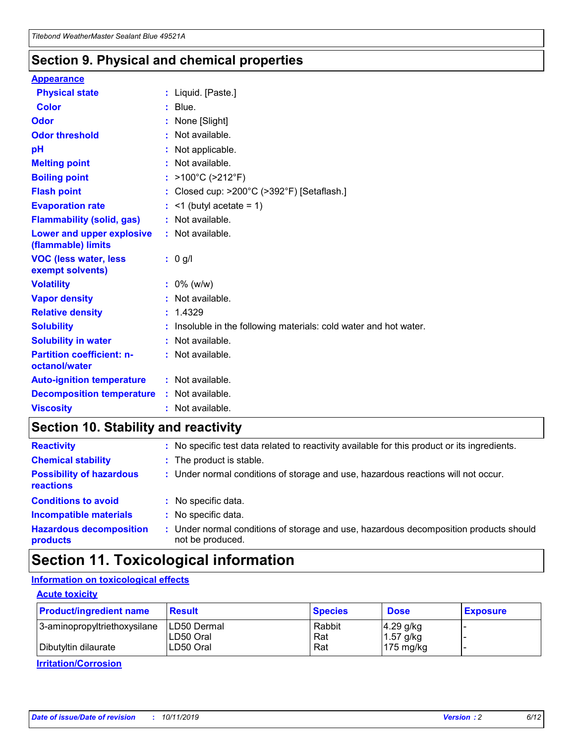### **Section 9. Physical and chemical properties**

#### **Appearance**

| <b>Physical state</b>                             | : Liquid. [Paste.]                                              |
|---------------------------------------------------|-----------------------------------------------------------------|
| <b>Color</b>                                      | $:$ Blue.                                                       |
| Odor                                              | : None [Slight]                                                 |
| <b>Odor threshold</b>                             | $:$ Not available.                                              |
| рH                                                | : Not applicable.                                               |
| <b>Melting point</b>                              | : Not available.                                                |
| <b>Boiling point</b>                              | : $>100^{\circ}$ C ( $>212^{\circ}$ F)                          |
| <b>Flash point</b>                                | Closed cup: >200°C (>392°F) [Setaflash.]                        |
| <b>Evaporation rate</b>                           | $:$ <1 (butyl acetate = 1)                                      |
| <b>Flammability (solid, gas)</b>                  | : Not available.                                                |
| Lower and upper explosive<br>(flammable) limits   | : Not available.                                                |
| <b>VOC (less water, less)</b><br>exempt solvents) | $: 0$ g/l                                                       |
| <b>Volatility</b>                                 | $: 0\%$ (w/w)                                                   |
| <b>Vapor density</b>                              | : Not available.                                                |
| <b>Relative density</b>                           | : 1.4329                                                        |
| <b>Solubility</b>                                 | Insoluble in the following materials: cold water and hot water. |
| <b>Solubility in water</b>                        | : Not available.                                                |
| <b>Partition coefficient: n-</b><br>octanol/water | $:$ Not available.                                              |
|                                                   |                                                                 |
| <b>Auto-ignition temperature</b>                  | : Not available.                                                |
| <b>Decomposition temperature</b>                  | : Not available.                                                |

### **Section 10. Stability and reactivity**

| <b>Reactivity</b>                            | : No specific test data related to reactivity available for this product or its ingredients.            |
|----------------------------------------------|---------------------------------------------------------------------------------------------------------|
| <b>Chemical stability</b>                    | : The product is stable.                                                                                |
| <b>Possibility of hazardous</b><br>reactions | : Under normal conditions of storage and use, hazardous reactions will not occur.                       |
| <b>Conditions to avoid</b>                   | : No specific data.                                                                                     |
| <b>Incompatible materials</b>                | : No specific data.                                                                                     |
| <b>Hazardous decomposition</b><br>products   | Under normal conditions of storage and use, hazardous decomposition products should<br>not be produced. |

## **Section 11. Toxicological information**

#### **Information on toxicological effects**

#### **Acute toxicity**

| <b>Product/ingredient name</b> | <b>Result</b>           | <b>Species</b> | <b>Dose</b>                | <b>Exposure</b> |
|--------------------------------|-------------------------|----------------|----------------------------|-----------------|
| 3-aminopropyltriethoxysilane   | <b>ILD50 Dermal</b>     | Rabbit         | 4.29 g/kg                  |                 |
| Dibutyltin dilaurate           | ILD50 Oral<br>LD50 Oral | Rat<br>Rat     | $1.57$ g/kg<br>175 $mg/kg$ |                 |
|                                |                         |                |                            |                 |

**Irritation/Corrosion**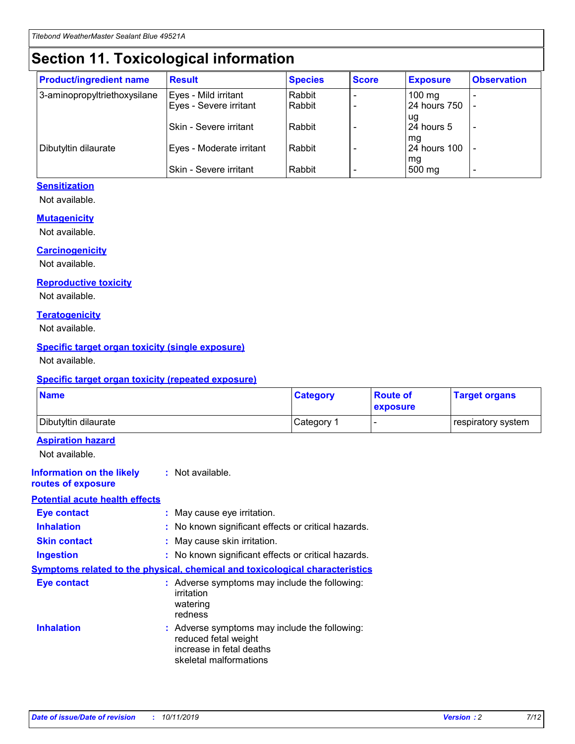## **Section 11. Toxicological information**

| <b>Product/ingredient name</b> | <b>Result</b>                 | <b>Species</b> | <b>Score</b> | <b>Exposure</b>    | <b>Observation</b> |
|--------------------------------|-------------------------------|----------------|--------------|--------------------|--------------------|
| 3-aminopropyltriethoxysilane   | Eyes - Mild irritant          | Rabbit         |              | $100$ mg           |                    |
|                                | Eyes - Severe irritant        | Rabbit         |              | 24 hours 750       |                    |
|                                |                               |                |              | ug                 |                    |
|                                | <b>Skin - Severe irritant</b> | Rabbit         |              | 24 hours 5         | ۰                  |
| Dibutyltin dilaurate           | Eyes - Moderate irritant      | Rabbit         |              | mq<br>24 hours 100 |                    |
|                                |                               |                |              | mg                 |                    |
|                                | Skin - Severe irritant        | Rabbit         |              | 500 mg             |                    |

#### **Sensitization**

Not available.

#### **Mutagenicity**

Not available.

#### **Carcinogenicity**

Not available.

#### **Reproductive toxicity**

Not available.

#### **Teratogenicity**

Not available.

#### **Specific target organ toxicity (single exposure)**

Not available.

#### **Specific target organ toxicity (repeated exposure)**

| <b>Name</b>                                                                         |                                                                            | <b>Category</b>                                     | <b>Route of</b><br>exposure | <b>Target organs</b> |
|-------------------------------------------------------------------------------------|----------------------------------------------------------------------------|-----------------------------------------------------|-----------------------------|----------------------|
| Dibutyltin dilaurate                                                                |                                                                            | Category 1                                          |                             | respiratory system   |
| <b>Aspiration hazard</b><br>Not available.                                          |                                                                            |                                                     |                             |                      |
| <b>Information on the likely</b><br>routes of exposure                              | : Not available.                                                           |                                                     |                             |                      |
| <b>Potential acute health effects</b>                                               |                                                                            |                                                     |                             |                      |
| <b>Eye contact</b>                                                                  | : May cause eye irritation.                                                |                                                     |                             |                      |
| <b>Inhalation</b>                                                                   |                                                                            | : No known significant effects or critical hazards. |                             |                      |
| <b>Skin contact</b>                                                                 | : May cause skin irritation.                                               |                                                     |                             |                      |
| <b>Ingestion</b>                                                                    |                                                                            | : No known significant effects or critical hazards. |                             |                      |
| <b>Symptoms related to the physical, chemical and toxicological characteristics</b> |                                                                            |                                                     |                             |                      |
| <b>Eye contact</b>                                                                  | irritation<br>watering<br>redness                                          | : Adverse symptoms may include the following:       |                             |                      |
| <b>Inhalation</b>                                                                   | reduced fetal weight<br>increase in fetal deaths<br>skeletal malformations | : Adverse symptoms may include the following:       |                             |                      |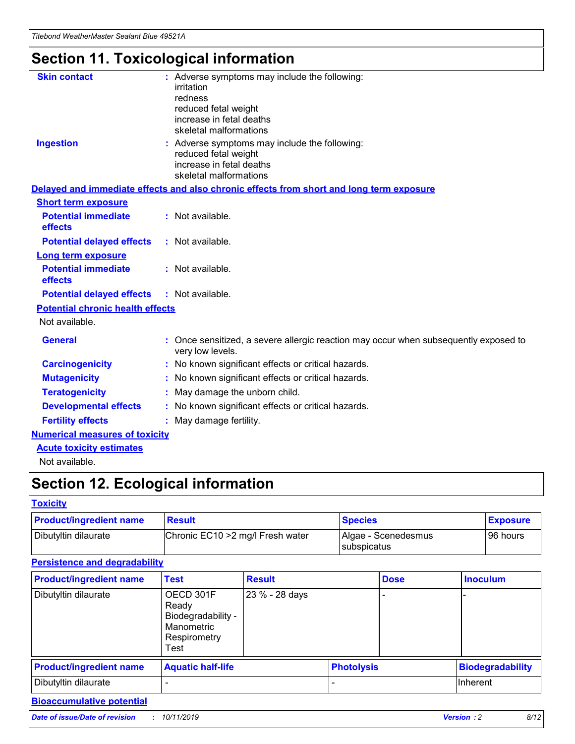## **Section 11. Toxicological information**

| <b>Skin contact</b>                     | : Adverse symptoms may include the following:<br>irritation<br>redness<br>reduced fetal weight<br>increase in fetal deaths<br>skeletal malformations |
|-----------------------------------------|------------------------------------------------------------------------------------------------------------------------------------------------------|
| <b>Ingestion</b>                        | : Adverse symptoms may include the following:<br>reduced fetal weight<br>increase in fetal deaths<br>skeletal malformations                          |
|                                         | Delayed and immediate effects and also chronic effects from short and long term exposure                                                             |
| <b>Short term exposure</b>              |                                                                                                                                                      |
| <b>Potential immediate</b><br>effects   | : Not available.                                                                                                                                     |
| <b>Potential delayed effects</b>        | : Not available.                                                                                                                                     |
| <b>Long term exposure</b>               |                                                                                                                                                      |
| <b>Potential immediate</b><br>effects   | : Not available.                                                                                                                                     |
| <b>Potential delayed effects</b>        | : Not available.                                                                                                                                     |
| <b>Potential chronic health effects</b> |                                                                                                                                                      |
| Not available.                          |                                                                                                                                                      |
| <b>General</b>                          | : Once sensitized, a severe allergic reaction may occur when subsequently exposed to<br>very low levels.                                             |
| <b>Carcinogenicity</b>                  | : No known significant effects or critical hazards.                                                                                                  |
| <b>Mutagenicity</b>                     | No known significant effects or critical hazards.                                                                                                    |
| <b>Teratogenicity</b>                   | May damage the unborn child.                                                                                                                         |
| <b>Developmental effects</b>            | No known significant effects or critical hazards.                                                                                                    |
| <b>Fertility effects</b>                | : May damage fertility.                                                                                                                              |
| <b>Numerical measures of toxicity</b>   |                                                                                                                                                      |
| <b>Acute toxicity estimates</b>         |                                                                                                                                                      |
|                                         |                                                                                                                                                      |

Not available.

## **Section 12. Ecological information**

#### **Toxicity**

| <b>Product/ingredient name</b> | <b>Result</b>                     | <b>Species</b>                       | <b>Exposure</b> |
|--------------------------------|-----------------------------------|--------------------------------------|-----------------|
| Dibutyltin dilaurate           | Chronic EC10 > 2 mg/l Fresh water | Algae - Scenedesmus<br>I subspicatus | l 96 hours      |

#### **Persistence and degradability**

| <b>Product/ingredient name</b> | <b>Test</b>                                                                    | <b>Result</b>  |                   | <b>Dose</b> | <b>Inoculum</b>         |
|--------------------------------|--------------------------------------------------------------------------------|----------------|-------------------|-------------|-------------------------|
| Dibutyltin dilaurate           | OECD 301F<br>Ready<br>Biodegradability -<br>Manometric<br>Respirometry<br>Test | 23 % - 28 days |                   |             |                         |
| <b>Product/ingredient name</b> | <b>Aquatic half-life</b>                                                       |                | <b>Photolysis</b> |             | <b>Biodegradability</b> |
| Dibutyltin dilaurate           |                                                                                |                |                   |             | Inherent                |

### **Bioaccumulative potential**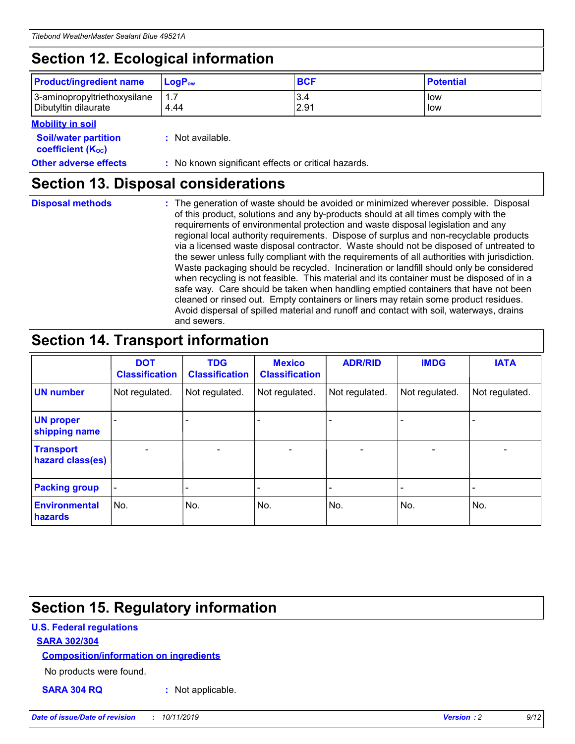## **Section 12. Ecological information**

| <b>Product/ingredient name</b> | $LoaPow$ | <b>BCF</b> | <b>Potential</b> |
|--------------------------------|----------|------------|------------------|
| 3-aminopropyltriethoxysilane   | 1.7      | 3.4        | low              |
| Dibutyltin dilaurate           | 4.44     | 2.91       | low              |

#### **Mobility in soil**

| <i></i>                                                       |                                                     |
|---------------------------------------------------------------|-----------------------------------------------------|
| <b>Soil/water partition</b><br>coefficient (K <sub>oc</sub> ) | : Not available.                                    |
| <b>Other adverse effects</b>                                  | : No known significant effects or critical hazards. |

### **Section 13. Disposal considerations**

**Disposal methods :**

The generation of waste should be avoided or minimized wherever possible. Disposal of this product, solutions and any by-products should at all times comply with the requirements of environmental protection and waste disposal legislation and any regional local authority requirements. Dispose of surplus and non-recyclable products via a licensed waste disposal contractor. Waste should not be disposed of untreated to the sewer unless fully compliant with the requirements of all authorities with jurisdiction. Waste packaging should be recycled. Incineration or landfill should only be considered when recycling is not feasible. This material and its container must be disposed of in a safe way. Care should be taken when handling emptied containers that have not been cleaned or rinsed out. Empty containers or liners may retain some product residues. Avoid dispersal of spilled material and runoff and contact with soil, waterways, drains and sewers.

## **Section 14. Transport information**

|                                      | <b>DOT</b><br><b>Classification</b> | <b>TDG</b><br><b>Classification</b> | <b>Mexico</b><br><b>Classification</b> | <b>ADR/RID</b>           | <b>IMDG</b>              | <b>IATA</b>              |
|--------------------------------------|-------------------------------------|-------------------------------------|----------------------------------------|--------------------------|--------------------------|--------------------------|
| <b>UN number</b>                     | Not regulated.                      | Not regulated.                      | Not regulated.                         | Not regulated.           | Not regulated.           | Not regulated.           |
| <b>UN proper</b><br>shipping name    | $\qquad \qquad$                     |                                     |                                        |                          |                          |                          |
| <b>Transport</b><br>hazard class(es) | $\blacksquare$                      | $\blacksquare$                      | $\blacksquare$                         | $\overline{\phantom{a}}$ | $\blacksquare$           | $\blacksquare$           |
| <b>Packing group</b>                 | $\overline{\phantom{a}}$            | $\overline{\phantom{0}}$            | $\qquad \qquad \blacksquare$           | -                        | $\overline{\phantom{0}}$ | $\overline{\phantom{a}}$ |
| <b>Environmental</b><br>hazards      | No.                                 | No.                                 | No.                                    | No.                      | No.                      | No.                      |

## **Section 15. Regulatory information**

#### **U.S. Federal regulations**

#### **SARA 302/304**

#### **Composition/information on ingredients**

No products were found.

**SARA 304 RQ :** Not applicable.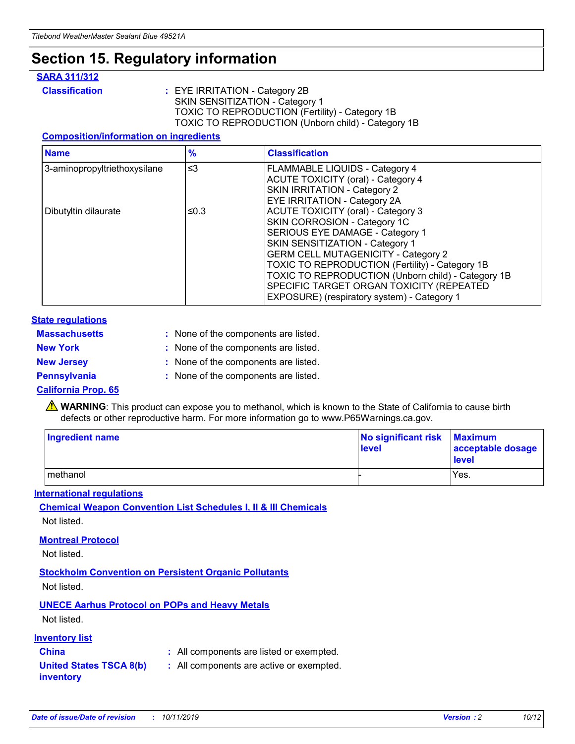## **Section 15. Regulatory information**

#### **SARA 311/312**

**Classification :** EYE IRRITATION - Category 2B SKIN SENSITIZATION - Category 1 TOXIC TO REPRODUCTION (Fertility) - Category 1B TOXIC TO REPRODUCTION (Unborn child) - Category 1B

#### **Composition/information on ingredients**

| <b>Name</b>                  | $\frac{9}{6}$ | <b>Classification</b>                                  |
|------------------------------|---------------|--------------------------------------------------------|
| 3-aminopropyltriethoxysilane | $\leq$ 3      | <b>FLAMMABLE LIQUIDS - Category 4</b>                  |
|                              |               | <b>ACUTE TOXICITY (oral) - Category 4</b>              |
|                              |               | SKIN IRRITATION - Category 2                           |
|                              |               | EYE IRRITATION - Category 2A                           |
| Dibutyltin dilaurate         | ≤0.3          | <b>ACUTE TOXICITY (oral) - Category 3</b>              |
|                              |               | SKIN CORROSION - Category 1C                           |
|                              |               | SERIOUS EYE DAMAGE - Category 1                        |
|                              |               | SKIN SENSITIZATION - Category 1                        |
|                              |               | <b>GERM CELL MUTAGENICITY - Category 2</b>             |
|                              |               | <b>TOXIC TO REPRODUCTION (Fertility) - Category 1B</b> |
|                              |               | TOXIC TO REPRODUCTION (Unborn child) - Category 1B     |
|                              |               | SPECIFIC TARGET ORGAN TOXICITY (REPEATED               |
|                              |               | EXPOSURE) (respiratory system) - Category 1            |

#### **State regulations**

| <b>Massachusetts</b> | : None of the components are listed. |
|----------------------|--------------------------------------|
| <b>New York</b>      | : None of the components are listed. |
| <b>New Jersey</b>    | : None of the components are listed. |
| <b>Pennsylvania</b>  | : None of the components are listed. |

#### **California Prop. 65**

**A** WARNING: This product can expose you to methanol, which is known to the State of California to cause birth defects or other reproductive harm. For more information go to www.P65Warnings.ca.gov.

| <b>Ingredient name</b> | No significant risk Maximum<br>level | acceptable dosage<br>level |
|------------------------|--------------------------------------|----------------------------|
| methanol               |                                      | Yes.                       |

#### **International regulations**

**Chemical Weapon Convention List Schedules I, II & III Chemicals** Not listed.

#### **Montreal Protocol**

Not listed.

**Stockholm Convention on Persistent Organic Pollutants**

Not listed.

#### **UNECE Aarhus Protocol on POPs and Heavy Metals**

Not listed.

#### **Inventory list**

### **China :** All components are listed or exempted.

**United States TSCA 8(b) inventory :** All components are active or exempted.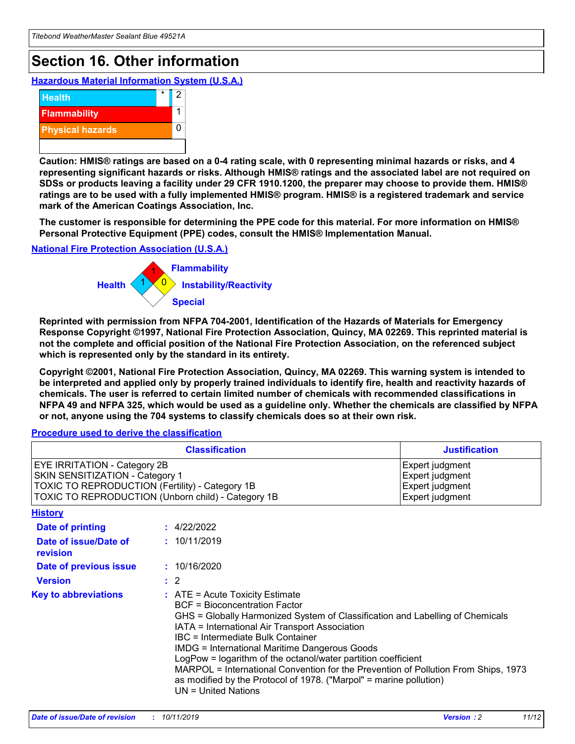## **Section 16. Other information**

**Hazardous Material Information System (U.S.A.)**



**Caution: HMIS® ratings are based on a 0-4 rating scale, with 0 representing minimal hazards or risks, and 4 representing significant hazards or risks. Although HMIS® ratings and the associated label are not required on SDSs or products leaving a facility under 29 CFR 1910.1200, the preparer may choose to provide them. HMIS® ratings are to be used with a fully implemented HMIS® program. HMIS® is a registered trademark and service mark of the American Coatings Association, Inc.**

**The customer is responsible for determining the PPE code for this material. For more information on HMIS® Personal Protective Equipment (PPE) codes, consult the HMIS® Implementation Manual.**

#### **National Fire Protection Association (U.S.A.)**



**Reprinted with permission from NFPA 704-2001, Identification of the Hazards of Materials for Emergency Response Copyright ©1997, National Fire Protection Association, Quincy, MA 02269. This reprinted material is not the complete and official position of the National Fire Protection Association, on the referenced subject which is represented only by the standard in its entirety.**

**Copyright ©2001, National Fire Protection Association, Quincy, MA 02269. This warning system is intended to be interpreted and applied only by properly trained individuals to identify fire, health and reactivity hazards of chemicals. The user is referred to certain limited number of chemicals with recommended classifications in NFPA 49 and NFPA 325, which would be used as a guideline only. Whether the chemicals are classified by NFPA or not, anyone using the 704 systems to classify chemicals does so at their own risk.**

#### **Procedure used to derive the classification**

| <b>Classification</b>                                                                                                                                                                  |                                                                                                                                                                                                                                                                   | <b>Justification</b>                                                                                                                                                                                                                                                                                       |  |
|----------------------------------------------------------------------------------------------------------------------------------------------------------------------------------------|-------------------------------------------------------------------------------------------------------------------------------------------------------------------------------------------------------------------------------------------------------------------|------------------------------------------------------------------------------------------------------------------------------------------------------------------------------------------------------------------------------------------------------------------------------------------------------------|--|
| <b>EYE IRRITATION - Category 2B</b><br>SKIN SENSITIZATION - Category 1<br><b>TOXIC TO REPRODUCTION (Fertility) - Category 1B</b><br>TOXIC TO REPRODUCTION (Unborn child) - Category 1B |                                                                                                                                                                                                                                                                   | Expert judgment<br>Expert judgment<br>Expert judgment<br>Expert judgment                                                                                                                                                                                                                                   |  |
| <b>History</b>                                                                                                                                                                         |                                                                                                                                                                                                                                                                   |                                                                                                                                                                                                                                                                                                            |  |
| <b>Date of printing</b>                                                                                                                                                                | : 4/22/2022                                                                                                                                                                                                                                                       |                                                                                                                                                                                                                                                                                                            |  |
| Date of issue/Date of<br>revision                                                                                                                                                      | : 10/11/2019                                                                                                                                                                                                                                                      |                                                                                                                                                                                                                                                                                                            |  |
| Date of previous issue                                                                                                                                                                 | : 10/16/2020                                                                                                                                                                                                                                                      |                                                                                                                                                                                                                                                                                                            |  |
| <b>Version</b>                                                                                                                                                                         | $\therefore$ 2                                                                                                                                                                                                                                                    |                                                                                                                                                                                                                                                                                                            |  |
| <b>Key to abbreviations</b>                                                                                                                                                            | $\therefore$ ATE = Acute Toxicity Estimate<br><b>BCF</b> = Bioconcentration Factor<br>IATA = International Air Transport Association<br><b>IBC</b> = Intermediate Bulk Container<br><b>IMDG = International Maritime Dangerous Goods</b><br>$UN = United Nations$ | GHS = Globally Harmonized System of Classification and Labelling of Chemicals<br>LogPow = logarithm of the octanol/water partition coefficient<br>MARPOL = International Convention for the Prevention of Pollution From Ships, 1973<br>as modified by the Protocol of 1978. ("Marpol" = marine pollution) |  |